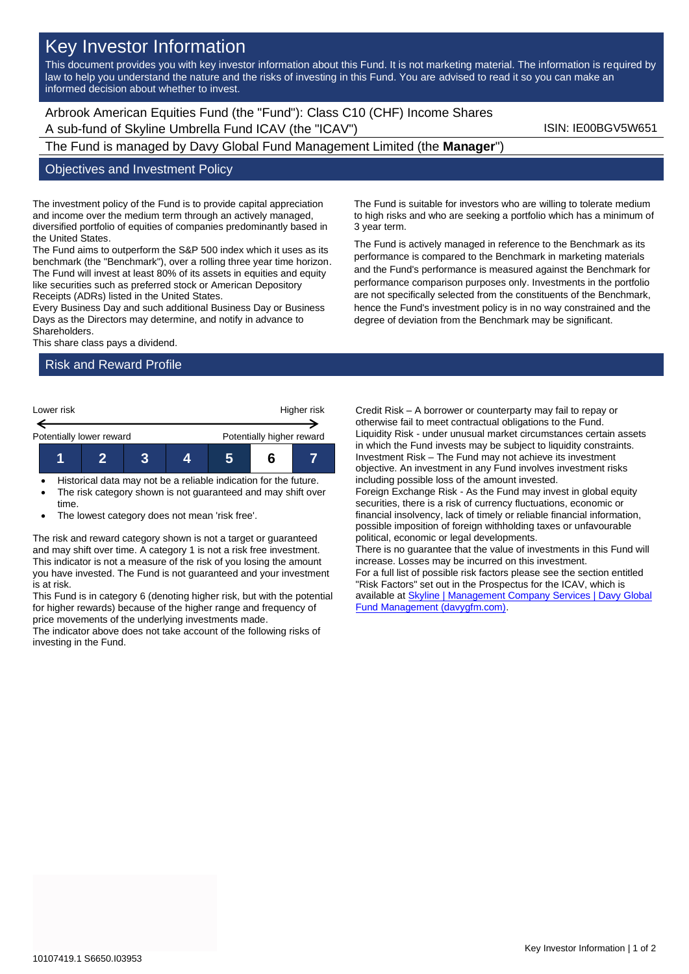# Key Investor Information

This document provides you with key investor information about this Fund. It is not marketing material. The information is required by law to help you understand the nature and the risks of investing in this Fund. You are advised to read it so you can make an informed decision about whether to invest.

Arbrook American Equities Fund (the "Fund"): Class C10 (CHF) Income Shares A sub-fund of Skyline Umbrella Fund ICAV (the "ICAV") ISIN: IE00BGV5W651

The Fund is managed by Davy Global Fund Management Limited (the **Manager**")

#### Objectives and Investment Policy

The investment policy of the Fund is to provide capital appreciation and income over the medium term through an actively managed, diversified portfolio of equities of companies predominantly based in the United States.

The Fund aims to outperform the S&P 500 index which it uses as its benchmark (the "Benchmark"), over a rolling three year time horizon. The Fund will invest at least 80% of its assets in equities and equity like securities such as preferred stock or American Depository Receipts (ADRs) listed in the United States.

Every Business Day and such additional Business Day or Business Days as the Directors may determine, and notify in advance to Shareholders.

This share class pays a dividend.

### Risk and Reward Profile



- Historical data may not be a reliable indication for the future.
- The risk category shown is not guaranteed and may shift over time.
- The lowest category does not mean 'risk free'.

The risk and reward category shown is not a target or guaranteed and may shift over time. A category 1 is not a risk free investment. This indicator is not a measure of the risk of you losing the amount you have invested. The Fund is not guaranteed and your investment is at risk.

This Fund is in category 6 (denoting higher risk, but with the potential for higher rewards) because of the higher range and frequency of price movements of the underlying investments made.

The indicator above does not take account of the following risks of investing in the Fund.

The Fund is suitable for investors who are willing to tolerate medium to high risks and who are seeking a portfolio which has a minimum of 3 year term.

The Fund is actively managed in reference to the Benchmark as its performance is compared to the Benchmark in marketing materials and the Fund's performance is measured against the Benchmark for performance comparison purposes only. Investments in the portfolio are not specifically selected from the constituents of the Benchmark, hence the Fund's investment policy is in no way constrained and the degree of deviation from the Benchmark may be significant.

Credit Risk – A borrower or counterparty may fail to repay or otherwise fail to meet contractual obligations to the Fund. Liquidity Risk - under unusual market circumstances certain assets in which the Fund invests may be subject to liquidity constraints. Investment Risk – The Fund may not achieve its investment objective. An investment in any Fund involves investment risks including possible loss of the amount invested. Foreign Exchange Risk - As the Fund may invest in global equity securities, there is a risk of currency fluctuations, economic or financial insolvency, lack of timely or reliable financial information, possible imposition of foreign withholding taxes or unfavourable political, economic or legal developments. There is no guarantee that the value of investments in this Fund will increase. Losses may be incurred on this investment. For a full list of possible risk factors please see the section entitled "Risk Factors" set out in the Prospectus for the ICAV, which is available at **Skyline | Management Company Services | Davy Global** [Fund Management \(davygfm.com\).](https://www.davygfm.com/funds-factsheets/management-company-services/ireland/skyline.html)